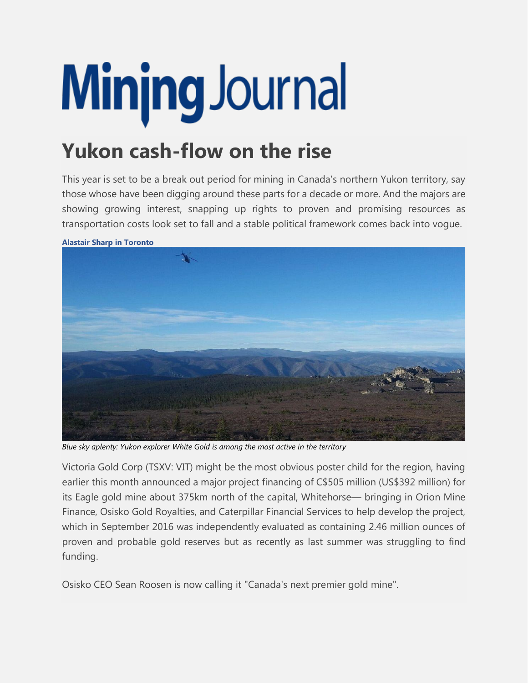## Minjng Journal

## **Yukon cash-flow on the rise**

This year is set to be a break out period for mining in Canada's northern Yukon territory, say those whose have been digging around these parts for a decade or more. And the majors are showing growing interest, snapping up rights to proven and promising resources as transportation costs look set to fall and a stable political framework comes back into vogue.



**Alastair Sharp in Toronto**

*Blue sky aplenty: Yukon explorer White Gold is among the most active in the territory*

Victoria Gold Corp (TSXV: VIT) might be the most obvious poster child for the region, having earlier this month announced a major project financing of C\$505 million (US\$392 million) for its Eagle gold mine about 375km north of the capital, Whitehorse— bringing in Orion Mine Finance, Osisko Gold Royalties, and Caterpillar Financial Services to help develop the project, which in September 2016 was independently evaluated as containing 2.46 million ounces of proven and probable gold reserves but as recently as last summer was struggling to find funding.

Osisko CEO Sean Roosen is now calling it "Canada's next premier gold mine".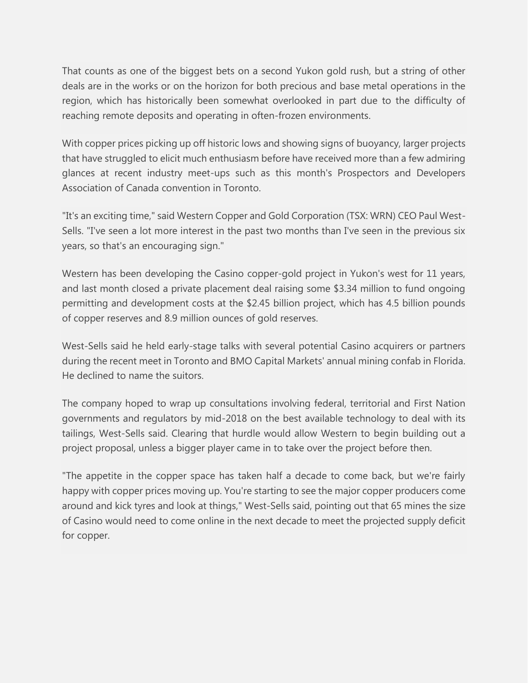That counts as one of the biggest bets on a second Yukon gold rush, but a string of other deals are in the works or on the horizon for both precious and base metal operations in the region, which has historically been somewhat overlooked in part due to the difficulty of reaching remote deposits and operating in often-frozen environments.

With copper prices picking up off historic lows and showing signs of buoyancy, larger projects that have struggled to elicit much enthusiasm before have received more than a few admiring glances at recent industry meet-ups such as this month's Prospectors and Developers Association of Canada convention in Toronto.

"It's an exciting time," said Western Copper and Gold Corporation (TSX: WRN) CEO Paul West-Sells. "I've seen a lot more interest in the past two months than I've seen in the previous six years, so that's an encouraging sign."

Western has been developing the Casino copper-gold project in Yukon's west for 11 years, and last month closed a private placement deal raising some \$3.34 million to fund ongoing permitting and development costs at the \$2.45 billion project, which has 4.5 billion pounds of copper reserves and 8.9 million ounces of gold reserves.

West-Sells said he held early-stage talks with several potential Casino acquirers or partners during the recent meet in Toronto and BMO Capital Markets' annual mining confab in Florida. He declined to name the suitors.

The company hoped to wrap up consultations involving federal, territorial and First Nation governments and regulators by mid-2018 on the best available technology to deal with its tailings, West-Sells said. Clearing that hurdle would allow Western to begin building out a project proposal, unless a bigger player came in to take over the project before then.

"The appetite in the copper space has taken half a decade to come back, but we're fairly happy with copper prices moving up. You're starting to see the major copper producers come around and kick tyres and look at things," West-Sells said, pointing out that 65 mines the size of Casino would need to come online in the next decade to meet the projected supply deficit for copper.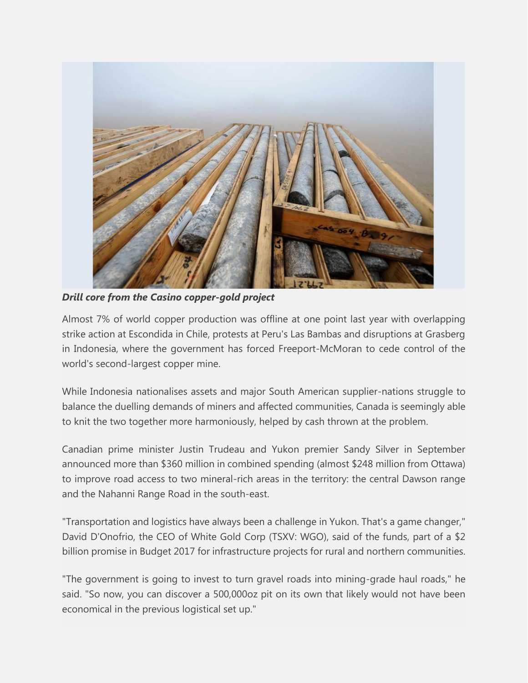

*Drill core from the Casino copper-gold project*

Almost 7% of world copper production was offline at one point last year with overlapping strike action at Escondida in Chile, protests at Peru's Las Bambas and disruptions at Grasberg in Indonesia, where the government has forced Freeport-McMoran to cede control of the world's second-largest copper mine.

While Indonesia nationalises assets and major South American supplier-nations struggle to balance the duelling demands of miners and affected communities, Canada is seemingly able to knit the two together more harmoniously, helped by cash thrown at the problem.

Canadian prime minister Justin Trudeau and Yukon premier Sandy Silver in September announced more than \$360 million in combined spending (almost \$248 million from Ottawa) to improve road access to two mineral-rich areas in the territory: the central Dawson range and the Nahanni Range Road in the south-east.

"Transportation and logistics have always been a challenge in Yukon. That's a game changer," David D'Onofrio, the CEO of White Gold Corp (TSXV: WGO), said of the funds, part of a \$2 billion promise in Budget 2017 for infrastructure projects for rural and northern communities.

"The government is going to invest to turn gravel roads into mining-grade haul roads," he said. "So now, you can discover a 500,000oz pit on its own that likely would not have been economical in the previous logistical set up."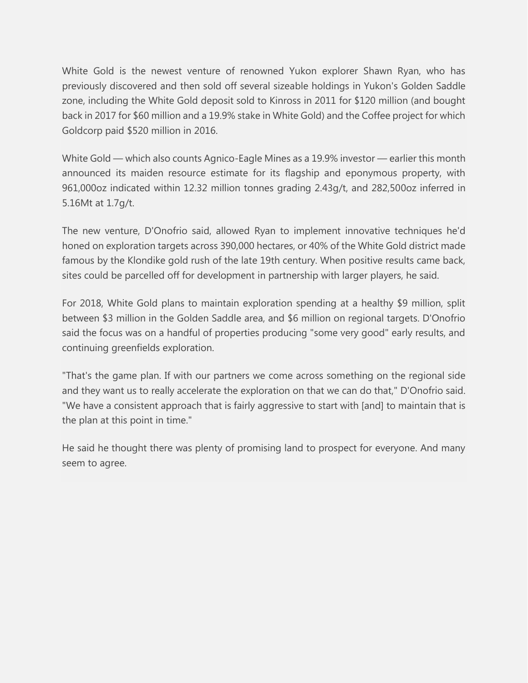White Gold is the newest venture of renowned Yukon explorer Shawn Ryan, who has previously discovered and then sold off several sizeable holdings in Yukon's Golden Saddle zone, including the White Gold deposit sold to Kinross in 2011 for \$120 million (and bought back in 2017 for \$60 million and a 19.9% stake in White Gold) and the Coffee project for which Goldcorp paid \$520 million in 2016.

White Gold — which also counts Agnico-Eagle Mines as a 19.9% investor — earlier this month announced its maiden resource estimate for its flagship and eponymous property, with 961,000oz indicated within 12.32 million tonnes grading 2.43g/t, and 282,500oz inferred in 5.16Mt at 1.7g/t.

The new venture, D'Onofrio said, allowed Ryan to implement innovative techniques he'd honed on exploration targets across 390,000 hectares, or 40% of the White Gold district made famous by the Klondike gold rush of the late 19th century. When positive results came back, sites could be parcelled off for development in partnership with larger players, he said.

For 2018, White Gold plans to maintain exploration spending at a healthy \$9 million, split between \$3 million in the Golden Saddle area, and \$6 million on regional targets. D'Onofrio said the focus was on a handful of properties producing "some very good" early results, and continuing greenfields exploration.

"That's the game plan. If with our partners we come across something on the regional side and they want us to really accelerate the exploration on that we can do that," D'Onofrio said. "We have a consistent approach that is fairly aggressive to start with [and] to maintain that is the plan at this point in time."

He said he thought there was plenty of promising land to prospect for everyone. And many seem to agree.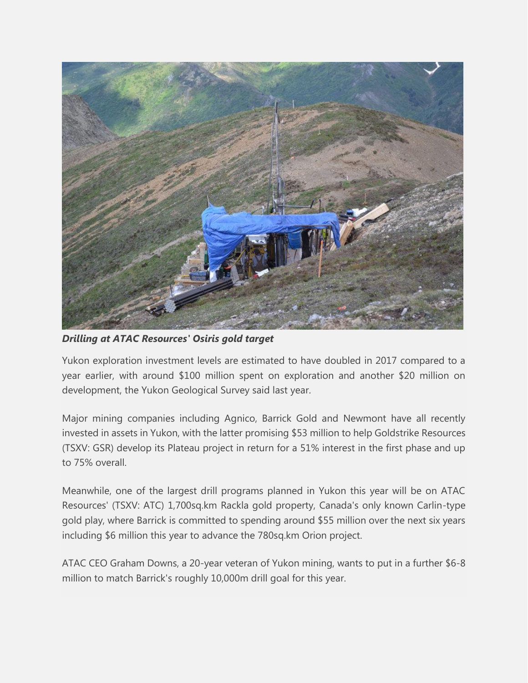

*Drilling at ATAC Resources' Osiris gold target*

Yukon exploration investment levels are estimated to have doubled in 2017 compared to a year earlier, with around \$100 million spent on exploration and another \$20 million on development, the Yukon Geological Survey said last year.

Major mining companies including Agnico, Barrick Gold and Newmont have all recently invested in assets in Yukon, with the latter promising \$53 million to help Goldstrike Resources (TSXV: GSR) develop its Plateau project in return for a 51% interest in the first phase and up to 75% overall.

Meanwhile, one of the largest drill programs planned in Yukon this year will be on ATAC Resources' (TSXV: ATC) 1,700sq.km Rackla gold property, Canada's only known Carlin-type gold play, where Barrick is committed to spending around \$55 million over the next six years including \$6 million this year to advance the 780sq.km Orion project.

ATAC CEO Graham Downs, a 20-year veteran of Yukon mining, wants to put in a further \$6-8 million to match Barrick's roughly 10,000m drill goal for this year.